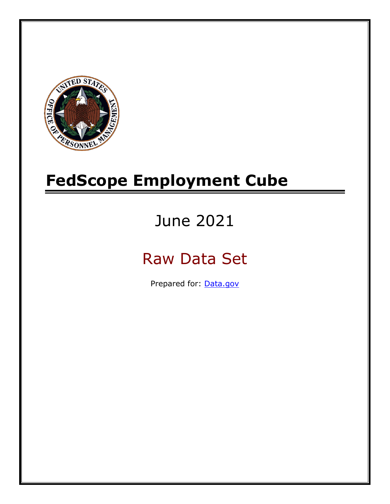

# **FedScope Employment Cube**

# June 2021

# Raw Data Set

Prepared for: [Data.gov](http://www.data.gov/)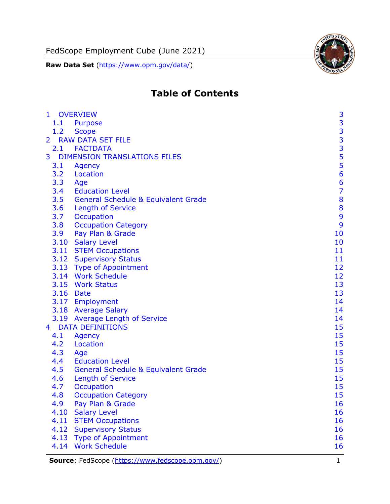FedScope Employment Cube (June 2021)

**Raw Data Set** [\(https://www.opm.gov/data/\)](https://www.opm.gov/data/)



# **Table of Contents**

| $\mathbf{1}$   | <b>OVERVIEW</b>                                | 3                                          |
|----------------|------------------------------------------------|--------------------------------------------|
| 1.1            | Purpose                                        |                                            |
| 1.2            | <b>Scope</b>                                   |                                            |
| $\overline{2}$ | <b>RAW DATA SET FILE</b>                       | $\begin{array}{c} 3 \\ 3 \\ 3 \end{array}$ |
|                | 2.1 FACTDATA                                   |                                            |
| 3              | <b>DIMENSION TRANSLATIONS FILES</b>            |                                            |
| 3.1            | Agency                                         | $\frac{5}{5}$                              |
| 3.2            | Location                                       | 6                                          |
| 3.3            | Age                                            | 6                                          |
| 3.4            | <b>Education Level</b>                         | $\overline{7}$                             |
| 3.5            | <b>General Schedule &amp; Equivalent Grade</b> | 8                                          |
| 3.6            | <b>Length of Service</b>                       | 8                                          |
| 3.7            | Occupation                                     | 9                                          |
| 3.8            | <b>Occupation Category</b>                     | 9                                          |
| 3.9            | Pay Plan & Grade                               | 10                                         |
|                | 3.10 Salary Level                              | 10                                         |
|                | 3.11 STEM Occupations                          | 11                                         |
|                | 3.12 Supervisory Status                        | 11                                         |
|                | 3.13 Type of Appointment                       | 12                                         |
|                | 3.14 Work Schedule                             | 12                                         |
|                | 3.15 Work Status                               | 13                                         |
|                | 3.16 Date                                      | 13                                         |
|                | 3.17 Employment                                | 14                                         |
|                | 3.18 Average Salary                            | 14                                         |
|                | 3.19 Average Length of Service                 | 14                                         |
| 4              | <b>DATA DEFINITIONS</b>                        | 15                                         |
| 4.1            | Agency                                         | 15                                         |
| 4.2            | Location                                       | 15                                         |
| 4.3            | Age                                            | 15                                         |
| 4.4            | <b>Education Level</b>                         | 15                                         |
| 4.5            | <b>General Schedule &amp; Equivalent Grade</b> | 15                                         |
| 4.6            | <b>Length of Service</b>                       | 15                                         |
| 4.7            | <b>Occupation</b>                              | 15                                         |
| 4.8            | <b>Occupation Category</b>                     | 15                                         |
| 4.9            | Pay Plan & Grade                               | 16                                         |
| 4.10           | <b>Salary Level</b>                            | 16                                         |
| 4.11           | <b>STEM Occupations</b>                        | 16                                         |
| 4.12           | <b>Supervisory Status</b>                      | 16                                         |
| 4.13           | <b>Type of Appointment</b>                     | 16                                         |
| 4.14           | <b>Work Schedule</b>                           | 16                                         |

**Source**: FedScope [\(https://www.fedscope.opm.gov/\)](https://www.fedscope.opm.gov/) 1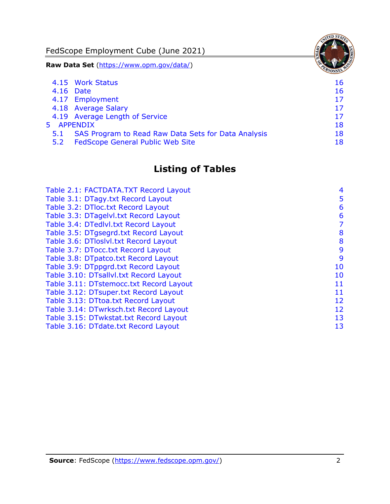FedScope Employment Cube (June 2021)

**Raw Data Set** [\(https://www.opm.gov/data/\)](https://www.opm.gov/data/)

|            | 4.15 Work Status                                    | 16 |
|------------|-----------------------------------------------------|----|
|            | 4.16 Date                                           | 16 |
|            | 4.17 Employment                                     | 17 |
|            | 4.18 Average Salary                                 | 17 |
|            | 4.19 Average Length of Service                      | 17 |
| 5 APPENDIX |                                                     | 18 |
| 5.1        | SAS Program to Read Raw Data Sets for Data Analysis | 18 |
| 5.2        | <b>FedScope General Public Web Site</b>             | 18 |
|            |                                                     |    |

# **Listing of Tables**

| Table 2.1: FACTDATA.TXT Record Layout   | 4  |
|-----------------------------------------|----|
| Table 3.1: DTagy.txt Record Layout      | 5  |
| Table 3.2: DTloc.txt Record Layout      | 6  |
| Table 3.3: DTagelvl.txt Record Layout   | 6  |
| Table 3.4: DTedlvl.txt Record Layout    | 7  |
| Table 3.5: DTgsegrd.txt Record Layout   | 8  |
| Table 3.6: DTloslvl.txt Record Layout   | 8  |
| Table 3.7: DTocc.txt Record Layout      | 9  |
| Table 3.8: DTpatco.txt Record Layout    | 9  |
| Table 3.9: DTppgrd.txt Record Layout    | 10 |
| Table 3.10: DTsallvl.txt Record Layout  | 10 |
| Table 3.11: DTstemocc.txt Record Layout | 11 |
| Table 3.12: DTsuper.txt Record Layout   | 11 |
| Table 3.13: DTtoa.txt Record Layout     | 12 |
| Table 3.14: DTwrksch.txt Record Layout  | 12 |
| Table 3.15: DTwkstat.txt Record Layout  | 13 |
| Table 3.16: DTdate.txt Record Layout    | 13 |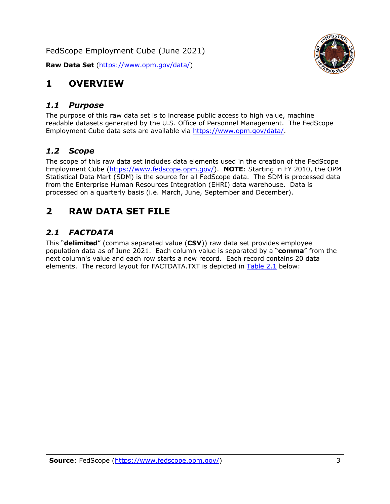

# <span id="page-3-0"></span>**1 OVERVIEW**

#### <span id="page-3-1"></span>*1.1 Purpose*

The purpose of this raw data set is to increase public access to high value, machine readable datasets generated by the U.S. Office of Personnel Management. The FedScope Employment Cube data sets are available via [https://www.opm.gov/data/.](https://www.opm.gov/data/)

### <span id="page-3-2"></span>*1.2 Scope*

The scope of this raw data set includes data elements used in the creation of the FedScope Employment Cube [\(https://www.fedscope.opm.gov/\)](https://www.fedscope.opm.gov/). **NOTE**: Starting in FY 2010, the OPM Statistical Data Mart (SDM) is the source for all FedScope data. The SDM is processed data from the Enterprise Human Resources Integration (EHRI) data warehouse. Data is processed on a quarterly basis (i.e. March, June, September and December).

# <span id="page-3-3"></span>**2 RAW DATA SET FILE**

# <span id="page-3-4"></span>*2.1 FACTDATA*

This "**delimited**" (comma separated value (**CSV**)) raw data set provides employee population data as of June 2021. Each column value is separated by a "**comma**" from the next column's value and each row starts a new record. Each record contains 20 data elements. The record layout for FACTDATA.TXT is depicted in [Table 2.1](#page-4-0) below: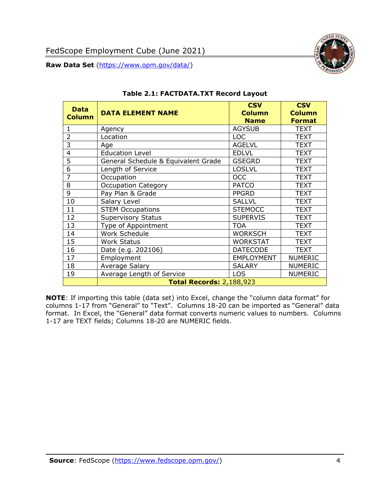

<span id="page-4-0"></span>

| <b>Data</b><br><b>Column</b> | <b>DATA ELEMENT NAME</b>            | <b>CSV</b><br><b>Column</b><br><b>Name</b> | <b>CSV</b><br><b>Column</b><br><b>Format</b> |
|------------------------------|-------------------------------------|--------------------------------------------|----------------------------------------------|
| 1                            | Agency                              | <b>AGYSUB</b>                              | <b>TEXT</b>                                  |
| $\overline{2}$               | Location                            | <b>LOC</b>                                 | <b>TEXT</b>                                  |
| 3                            | Age                                 | <b>AGELVL</b>                              | <b>TEXT</b>                                  |
| $\overline{4}$               | <b>Education Level</b>              | <b>EDLVL</b>                               | <b>TEXT</b>                                  |
| 5                            | General Schedule & Equivalent Grade | <b>GSEGRD</b>                              | <b>TEXT</b>                                  |
| 6                            | Length of Service                   | <b>LOSLVL</b>                              | <b>TEXT</b>                                  |
| 7                            | Occupation                          | <b>OCC</b>                                 | <b>TEXT</b>                                  |
| 8                            | <b>Occupation Category</b>          | <b>PATCO</b>                               | <b>TEXT</b>                                  |
| 9                            | Pay Plan & Grade                    | <b>PPGRD</b>                               | <b>TEXT</b>                                  |
| 10                           | Salary Level                        | <b>SALLVL</b>                              | <b>TEXT</b>                                  |
| 11                           | <b>STEM Occupations</b>             | <b>STEMOCC</b>                             | <b>TEXT</b>                                  |
| 12                           | <b>Supervisory Status</b>           | <b>SUPERVIS</b>                            | <b>TEXT</b>                                  |
| 13                           | Type of Appointment                 | <b>TOA</b>                                 | <b>TEXT</b>                                  |
| 14                           | Work Schedule                       | <b>WORKSCH</b>                             | <b>TEXT</b>                                  |
| 15                           | <b>Work Status</b>                  | <b>WORKSTAT</b>                            | <b>TEXT</b>                                  |
| 16                           | Date (e.g. 202106)                  | <b>DATECODE</b>                            | <b>TEXT</b>                                  |
| 17                           | Employment                          | <b>EMPLOYMENT</b>                          | <b>NUMERIC</b>                               |
| 18                           | Average Salary                      | <b>SALARY</b>                              | <b>NUMERIC</b>                               |
| 19                           | Average Length of Service           | <b>LOS</b>                                 | <b>NUMERIC</b>                               |
|                              | <b>Total Records: 2,188,923</b>     |                                            |                                              |

#### **Table 2.1: FACTDATA.TXT Record Layout**

**NOTE**: If importing this table (data set) into Excel, change the "column data format" for columns 1-17 from "General" to "Text". Columns 18-20 can be imported as "General" data format. In Excel, the "General" data format converts numeric values to numbers. Columns 1-17 are TEXT fields; Columns 18-20 are NUMERIC fields.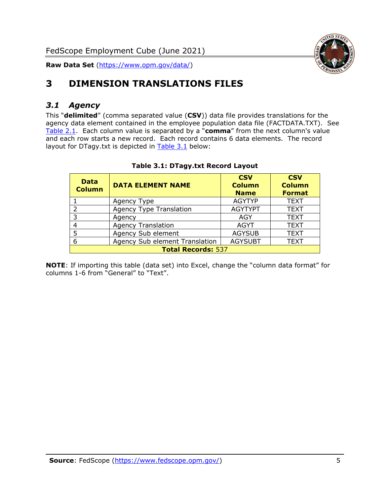

# <span id="page-5-0"></span>**3 DIMENSION TRANSLATIONS FILES**

## <span id="page-5-1"></span>*3.1 Agency*

This "**delimited**" (comma separated value (**CSV**)) data file provides translations for the agency data element contained in the employee population data file (FACTDATA.TXT). See [Table 2.1.](#page-4-0) Each column value is separated by a "**comma**" from the next column's value and each row starts a new record. Each record contains 6 data elements. The record layout for DTagy.txt is depicted in **[Table 3.1](#page-5-2)** below:

<span id="page-5-2"></span>

| <b>Data</b><br><b>Column</b> | <b>DATA ELEMENT NAME</b>       | <b>CSV</b><br><b>Column</b><br><b>Name</b> | <b>CSV</b><br><b>Column</b><br><b>Format</b> |
|------------------------------|--------------------------------|--------------------------------------------|----------------------------------------------|
|                              | Agency Type                    | <b>AGYTYP</b>                              | <b>TEXT</b>                                  |
|                              | <b>Agency Type Translation</b> | <b>AGYTYPT</b>                             | <b>TEXT</b>                                  |
| २                            | Agency                         | AGY                                        | <b>TEXT</b>                                  |
|                              | <b>Agency Translation</b>      | <b>AGYT</b>                                | <b>TEXT</b>                                  |
|                              | Agency Sub element             | <b>AGYSUB</b>                              | <b>TEXT</b>                                  |
| 6                            | Agency Sub element Translation | <b>AGYSUBT</b>                             | <b>TEXT</b>                                  |
| <b>Total Records: 537</b>    |                                |                                            |                                              |

#### **Table 3.1: DTagy.txt Record Layout**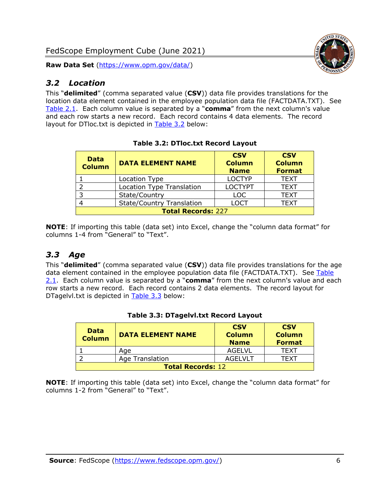<span id="page-6-0"></span>

This "**delimited**" (comma separated value (**CSV**)) data file provides translations for the location data element contained in the employee population data file (FACTDATA.TXT). See [Table 2.1.](#page-4-0) Each column value is separated by a "**comma**" from the next column's value and each row starts a new record. Each record contains 4 data elements. The record layout for DTloc.txt is depicted in [Table 3.2](#page-6-2) below:

<span id="page-6-2"></span>

| <b>Data</b><br><b>Column</b> | <b>DATA ELEMENT NAME</b>         | <b>CSV</b><br><b>Column</b><br><b>Name</b> | <b>CSV</b><br><b>Column</b><br><b>Format</b> |
|------------------------------|----------------------------------|--------------------------------------------|----------------------------------------------|
|                              | Location Type                    | <b>LOCTYP</b>                              | <b>TEXT</b>                                  |
|                              | <b>Location Type Translation</b> | <b>LOCTYPT</b>                             | <b>TEXT</b>                                  |
|                              | State/Country                    | <b>LOC</b>                                 | <b>TEXT</b>                                  |
|                              | <b>State/Country Translation</b> | LOCT                                       | <b>TEXT</b>                                  |
| <b>Total Records: 227</b>    |                                  |                                            |                                              |

**Table 3.2: DTloc.txt Record Layout**

**NOTE**: If importing this table (data set) into Excel, change the "column data format" for columns 1-4 from "General" to "Text".

## <span id="page-6-1"></span>*3.3 Age*

This "**delimited**" (comma separated value (**CSV**)) data file provides translations for the age data element contained in the employee population data file (FACTDATA.TXT). See Table [2.1.](#page-4-0) Each column value is separated by a "**comma**" from the next column's value and each row starts a new record. Each record contains 2 data elements. The record layout for DTagelvl.txt is depicted in [Table 3.3](#page-6-3) below:

<span id="page-6-3"></span>

| <b>Data</b><br><b>Column</b> | <b>DATA ELEMENT NAME</b> | <b>CSV</b><br><b>Column</b><br><b>Name</b> | <b>CSV</b><br><b>Column</b><br><b>Format</b> |
|------------------------------|--------------------------|--------------------------------------------|----------------------------------------------|
|                              | Age                      | AGELVL                                     | TFXT                                         |
|                              | Age Translation          | AGEL VLT                                   | TFXT                                         |
| <b>Total Records: 12</b>     |                          |                                            |                                              |

#### **Table 3.3: DTagelvl.txt Record Layout**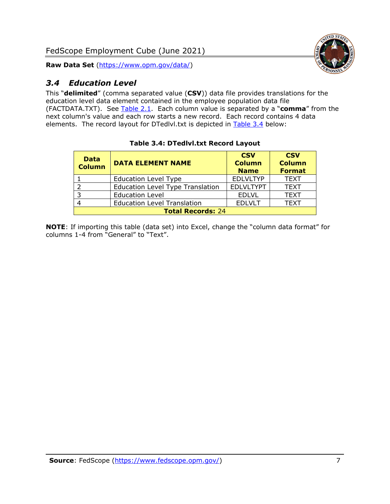

# <span id="page-7-0"></span>*3.4 Education Level*

This "**delimited**" (comma separated value (**CSV**)) data file provides translations for the education level data element contained in the employee population data file (FACTDATA.TXT). See [Table 2.1.](#page-4-0) Each column value is separated by a "**comma**" from the next column's value and each row starts a new record. Each record contains 4 data elements. The record layout for DTedlvl.txt is depicted in [Table 3.4](#page-7-1) below:

<span id="page-7-1"></span>

| <b>Data</b><br><b>Column</b> | <b>DATA ELEMENT NAME</b>                | <b>CSV</b><br><b>Column</b><br><b>Name</b> | <b>CSV</b><br><b>Column</b><br><b>Format</b> |
|------------------------------|-----------------------------------------|--------------------------------------------|----------------------------------------------|
|                              | <b>Education Level Type</b>             | <b>EDLVLTYP</b>                            | <b>TEXT</b>                                  |
|                              | <b>Education Level Type Translation</b> | <b>EDLVLTYPT</b>                           | <b>TEXT</b>                                  |
| 3                            | <b>Education Level</b>                  | <b>EDLVL</b>                               | <b>TEXT</b>                                  |
|                              | <b>Education Level Translation</b>      | <b>EDLVLT</b>                              | <b>TEXT</b>                                  |
| <b>Total Records: 24</b>     |                                         |                                            |                                              |

#### **Table 3.4: DTedlvl.txt Record Layout**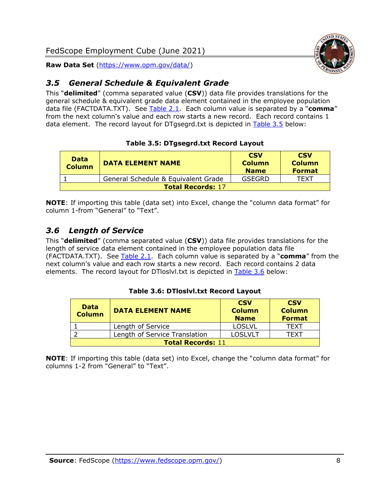

### <span id="page-8-0"></span>*3.5 General Schedule & Equivalent Grade*

This "**delimited**" (comma separated value (**CSV**)) data file provides translations for the general schedule & equivalent grade data element contained in the employee population data file (FACTDATA.TXT). See [Table 2.1.](#page-4-0) Each column value is separated by a "**comma**" from the next column's value and each row starts a new record. Each record contains 1 data element. The record layout for DTgsegrd.txt is depicted in [Table 3.5](#page-8-2) below:

#### **Table 3.5: DTgsegrd.txt Record Layout**

<span id="page-8-2"></span>

| Data<br><b>Column</b>    | <b>DATA ELEMENT NAME</b>            | <b>CSV</b><br><b>Column</b><br><b>Name</b> | <b>CSV</b><br><b>Column</b><br><b>Format</b> |
|--------------------------|-------------------------------------|--------------------------------------------|----------------------------------------------|
|                          | General Schedule & Equivalent Grade | GSEGRD                                     | TFXT                                         |
| <b>Total Records: 17</b> |                                     |                                            |                                              |

**NOTE**: If importing this table (data set) into Excel, change the "column data format" for column 1-from "General" to "Text".

### <span id="page-8-1"></span>*3.6 Length of Service*

This "**delimited**" (comma separated value (**CSV**)) data file provides translations for the length of service data element contained in the employee population data file (FACTDATA.TXT). See [Table 2.1.](#page-4-0) Each column value is separated by a "**comma**" from the next column's value and each row starts a new record. Each record contains 2 data elements. The record layout for DTloslvl.txt is depicted in [Table 3.6](#page-8-3) below:

#### **Table 3.6: DTloslvl.txt Record Layout**

<span id="page-8-3"></span>

| <b>Data</b><br><b>Column</b> | <b>DATA ELEMENT NAME</b>      | <b>CSV</b><br><b>Column</b><br><b>Name</b> | <b>CSV</b><br><b>Column</b><br><b>Format</b> |
|------------------------------|-------------------------------|--------------------------------------------|----------------------------------------------|
|                              | Length of Service             | <b>LOSLVL</b>                              | TEXT                                         |
|                              | Length of Service Translation | <b>LOSLVLT</b>                             | TEXT                                         |
| <b>Total Records: 11</b>     |                               |                                            |                                              |

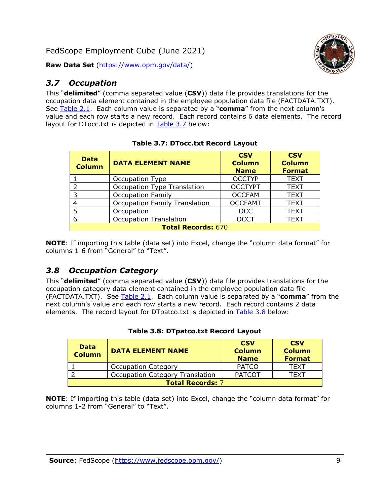# <span id="page-9-0"></span>*3.7 Occupation*

This "**delimited**" (comma separated value (**CSV**)) data file provides translations for the occupation data element contained in the employee population data file (FACTDATA.TXT). See [Table 2.1.](#page-4-0) Each column value is separated by a "**comma**" from the next column's value and each row starts a new record. Each record contains 6 data elements. The record layout for DTocc.txt is depicted in [Table 3.7](#page-9-2) below:

<span id="page-9-2"></span>

| <b>Data</b><br><b>Column</b> | <b>DATA ELEMENT NAME</b>             | <b>CSV</b><br><b>Column</b><br><b>Name</b> | <b>CSV</b><br><b>Column</b><br><b>Format</b> |
|------------------------------|--------------------------------------|--------------------------------------------|----------------------------------------------|
|                              | Occupation Type                      | <b>OCCTYP</b>                              | <b>TEXT</b>                                  |
| 2                            | Occupation Type Translation          | <b>OCCTYPT</b>                             | <b>TEXT</b>                                  |
| 3                            | <b>Occupation Family</b>             | <b>OCCFAM</b>                              | <b>TEXT</b>                                  |
| 4                            | <b>Occupation Family Translation</b> | <b>OCCFAMT</b>                             | <b>TEXT</b>                                  |
| 5                            | Occupation                           | <b>OCC</b>                                 | <b>TEXT</b>                                  |
| 6                            | <b>Occupation Translation</b>        | <b>OCCT</b>                                | <b>TEXT</b>                                  |
| <b>Total Records: 670</b>    |                                      |                                            |                                              |

| <b>Table 3.7: DTocc.txt Record Layout</b> |  |
|-------------------------------------------|--|
|-------------------------------------------|--|

**NOTE**: If importing this table (data set) into Excel, change the "column data format" for columns 1-6 from "General" to "Text".

#### <span id="page-9-1"></span>*3.8 Occupation Category*

This "**delimited**" (comma separated value (**CSV**)) data file provides translations for the occupation category data element contained in the employee population data file (FACTDATA.TXT). See [Table 2.1.](#page-4-0) Each column value is separated by a "**comma**" from the next column's value and each row starts a new record. Each record contains 2 data elements. The record layout for DTpatco.txt is depicted in [Table 3.8](#page-9-3) below:

<span id="page-9-3"></span>

| <b>Data</b><br><b>Column</b> | <b>DATA ELEMENT NAME</b>               | <b>CSV</b><br><b>Column</b><br><b>Name</b> | <b>CSV</b><br><b>Column</b><br><b>Format</b> |
|------------------------------|----------------------------------------|--------------------------------------------|----------------------------------------------|
|                              | <b>Occupation Category</b>             | <b>PATCO</b>                               | <b>TEXT</b>                                  |
|                              | <b>Occupation Category Translation</b> | <b>PATCOT</b>                              | <b>TFXT</b>                                  |
| <b>Total Records: 7</b>      |                                        |                                            |                                              |

#### **Table 3.8: DTpatco.txt Record Layout**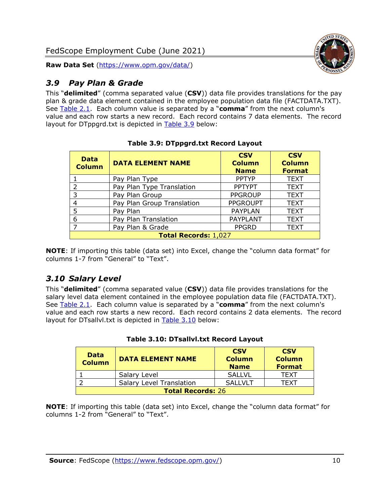

### <span id="page-10-0"></span>*3.9 Pay Plan & Grade*

This "**delimited**" (comma separated value (**CSV**)) data file provides translations for the pay plan & grade data element contained in the employee population data file (FACTDATA.TXT). See [Table 2.1.](#page-4-0) Each column value is separated by a "**comma**" from the next column's value and each row starts a new record. Each record contains 7 data elements. The record layout for DTppgrd.txt is depicted in [Table 3.9](#page-10-2) below:

<span id="page-10-2"></span>

| <b>Data</b><br><b>Column</b> | <b>DATA ELEMENT NAME</b>   | <b>CSV</b><br><b>Column</b><br><b>Name</b> | <b>CSV</b><br><b>Column</b><br><b>Format</b> |
|------------------------------|----------------------------|--------------------------------------------|----------------------------------------------|
|                              | Pay Plan Type              | <b>PPTYP</b>                               | <b>TEXT</b>                                  |
| 2                            | Pay Plan Type Translation  | <b>PPTYPT</b>                              | <b>TEXT</b>                                  |
| 3                            | Pay Plan Group             | <b>PPGROUP</b>                             | <b>TEXT</b>                                  |
| 4                            | Pay Plan Group Translation | <b>PPGROUPT</b>                            | <b>TEXT</b>                                  |
| 5                            | Pay Plan                   | <b>PAYPLAN</b>                             | <b>TEXT</b>                                  |
| 6                            | Pay Plan Translation       | <b>PAYPLANT</b>                            | <b>TEXT</b>                                  |
| $\overline{ }$               | Pay Plan & Grade           | <b>PPGRD</b>                               | <b>TEXT</b>                                  |
| Total Records: 1,027         |                            |                                            |                                              |

#### **Table 3.9: DTppgrd.txt Record Layout**

**NOTE**: If importing this table (data set) into Excel, change the "column data format" for columns 1-7 from "General" to "Text".

#### <span id="page-10-1"></span>*3.10 Salary Level*

This "**delimited**" (comma separated value (**CSV**)) data file provides translations for the salary level data element contained in the employee population data file (FACTDATA.TXT). See [Table 2.1.](#page-4-0) Each column value is separated by a "**comma**" from the next column's value and each row starts a new record. Each record contains 2 data elements. The record layout for DTsallvl.txt is depicted in [Table 3.10](#page-10-3) below:

<span id="page-10-3"></span>

| <b>Data</b><br><b>Column</b> | <b>DATA ELEMENT NAME</b>        | <b>CSV</b><br><b>Column</b><br><b>Name</b> | <b>CSV</b><br><b>Column</b><br><b>Format</b> |
|------------------------------|---------------------------------|--------------------------------------------|----------------------------------------------|
|                              | Salary Level                    | <b>SALLVL</b>                              | <b>TFXT</b>                                  |
|                              | <b>Salary Level Translation</b> | SALLVLT                                    | TFXT                                         |
| <b>Total Records: 26</b>     |                                 |                                            |                                              |

|  |  | Table 3.10: DTsallvl.txt Record Layout |  |  |
|--|--|----------------------------------------|--|--|
|--|--|----------------------------------------|--|--|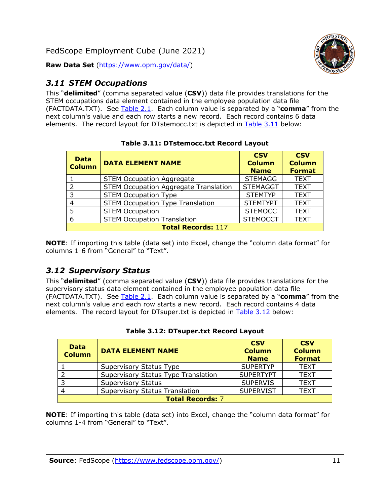

#### <span id="page-11-0"></span>*3.11 STEM Occupations*

This "**delimited**" (comma separated value (**CSV**)) data file provides translations for the STEM occupations data element contained in the employee population data file (FACTDATA.TXT). See [Table 2.1.](#page-4-0) Each column value is separated by a "**comma**" from the next column's value and each row starts a new record. Each record contains 6 data elements. The record layout for DTstemocc.txt is depicted in [Table 3.11](#page-11-2) below:

<span id="page-11-2"></span>

| <b>Data</b><br><b>Column</b> | <b>DATA ELEMENT NAME</b>                     | <b>CSV</b><br><b>Column</b><br><b>Name</b> | <b>CSV</b><br><b>Column</b><br><b>Format</b> |
|------------------------------|----------------------------------------------|--------------------------------------------|----------------------------------------------|
|                              | <b>STEM Occupation Aggregate</b>             | <b>STEMAGG</b>                             | <b>TEXT</b>                                  |
| $\mathcal{P}$                | <b>STEM Occupation Aggregate Translation</b> | <b>STEMAGGT</b>                            | <b>TEXT</b>                                  |
| 3                            | <b>STEM Occupation Type</b>                  | <b>STEMTYP</b>                             | <b>TEXT</b>                                  |
|                              | <b>STEM Occupation Type Translation</b>      | <b>STEMTYPT</b>                            | <b>TEXT</b>                                  |
| 5                            | <b>STEM Occupation</b>                       | <b>STEMOCC</b>                             | <b>TEXT</b>                                  |
| 6                            | <b>STEM Occupation Translation</b>           | <b>STEMOCCT</b>                            | <b>TEXT</b>                                  |
| <b>Total Records: 117</b>    |                                              |                                            |                                              |

**Table 3.11: DTstemocc.txt Record Layout**

**NOTE**: If importing this table (data set) into Excel, change the "column data format" for columns 1-6 from "General" to "Text".

# <span id="page-11-1"></span>*3.12 Supervisory Status*

This "**delimited**" (comma separated value (**CSV**)) data file provides translations for the supervisory status data element contained in the employee population data file (FACTDATA.TXT). See [Table 2.1.](#page-4-0) Each column value is separated by a "**comma**" from the next column's value and each row starts a new record. Each record contains 4 data elements. The record layout for DTsuper.txt is depicted in [Table 3.12](#page-11-3) below:

<span id="page-11-3"></span>

| <b>Data</b><br><b>Column</b> | <b>DATA ELEMENT NAME</b>              | <b>CSV</b><br><b>Column</b><br><b>Name</b> | <b>CSV</b><br><b>Column</b><br><b>Format</b> |
|------------------------------|---------------------------------------|--------------------------------------------|----------------------------------------------|
|                              | Supervisory Status Type               | <b>SUPERTYP</b>                            | <b>TEXT</b>                                  |
|                              | Supervisory Status Type Translation   | <b>SUPERTYPT</b>                           | <b>TEXT</b>                                  |
|                              | <b>Supervisory Status</b>             | <b>SUPERVIS</b>                            | <b>TEXT</b>                                  |
|                              | <b>Supervisory Status Translation</b> | <b>SUPERVIST</b>                           | <b>TEXT</b>                                  |
| <b>Total Records: 7</b>      |                                       |                                            |                                              |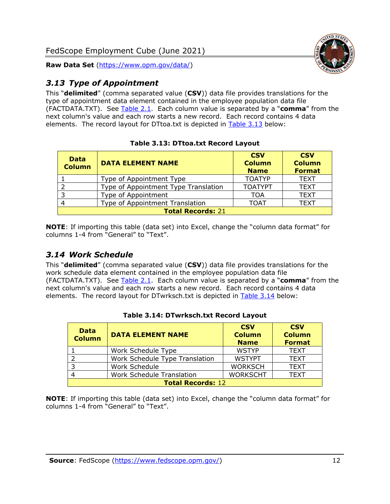



### <span id="page-12-0"></span>*3.13 Type of Appointment*

This "**delimited**" (comma separated value (**CSV**)) data file provides translations for the type of appointment data element contained in the employee population data file (FACTDATA.TXT). See [Table 2.1.](#page-4-0) Each column value is separated by a "**comma**" from the next column's value and each row starts a new record. Each record contains 4 data elements. The record layout for DTtoa.txt is depicted in [Table 3.13](#page-12-2) below:

<span id="page-12-2"></span>

| <b>Data</b><br><b>Column</b> | <b>DATA ELEMENT NAME</b>             | <b>CSV</b><br><b>Column</b><br><b>Name</b> | <b>CSV</b><br><b>Column</b><br><b>Format</b> |
|------------------------------|--------------------------------------|--------------------------------------------|----------------------------------------------|
|                              | Type of Appointment Type             | <b>TOATYP</b>                              | <b>TEXT</b>                                  |
|                              | Type of Appointment Type Translation | <b>TOATYPT</b>                             | <b>TEXT</b>                                  |
| 3                            | Type of Appointment                  | TOA                                        | <b>TEXT</b>                                  |
|                              | Type of Appointment Translation      | <b>TOAT</b>                                | <b>TEXT</b>                                  |
| <b>Total Records: 21</b>     |                                      |                                            |                                              |

#### **Table 3.13: DTtoa.txt Record Layout**

**NOTE**: If importing this table (data set) into Excel, change the "column data format" for columns 1-4 from "General" to "Text".

#### <span id="page-12-1"></span>*3.14 Work Schedule*

This "**delimited**" (comma separated value (**CSV**)) data file provides translations for the work schedule data element contained in the employee population data file (FACTDATA.TXT). See [Table 2.1.](#page-4-0) Each column value is separated by a "**comma**" from the next column's value and each row starts a new record. Each record contains 4 data elements. The record layout for DTwrksch.txt is depicted in [Table 3.14](#page-12-3) below:

<span id="page-12-3"></span>

| <b>Data</b><br><b>Column</b> | <b>DATA ELEMENT NAME</b>         | <b>CSV</b><br><b>Column</b><br><b>Name</b> | <b>CSV</b><br><b>Column</b><br><b>Format</b> |
|------------------------------|----------------------------------|--------------------------------------------|----------------------------------------------|
|                              | Work Schedule Type               | <b>WSTYP</b>                               | <b>TEXT</b>                                  |
|                              | Work Schedule Type Translation   | <b>WSTYPT</b>                              | <b>TEXT</b>                                  |
| -3                           | Work Schedule                    | <b>WORKSCH</b>                             | <b>TEXT</b>                                  |
|                              | <b>Work Schedule Translation</b> | <b>WORKSCHT</b>                            | <b>TEXT</b>                                  |
| <b>Total Records: 12</b>     |                                  |                                            |                                              |

#### **Table 3.14: DTwrksch.txt Record Layout**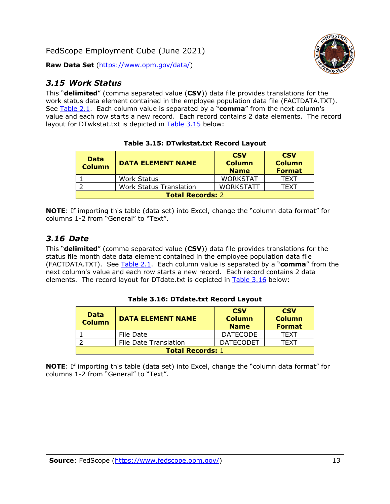

#### <span id="page-13-0"></span>*3.15 Work Status*

This "**delimited**" (comma separated value (**CSV**)) data file provides translations for the work status data element contained in the employee population data file (FACTDATA.TXT). See [Table 2.1.](#page-4-0) Each column value is separated by a "**comma**" from the next column's value and each row starts a new record. Each record contains 2 data elements. The record layout for DTwkstat.txt is depicted in [Table 3.15](#page-13-2) below:

<span id="page-13-2"></span>

| <b>Data</b><br><b>Column</b> | <b>DATA ELEMENT NAME</b>       | <b>CSV</b><br><b>Column</b><br><b>Name</b> | <b>CSV</b><br><b>Column</b><br><b>Format</b> |
|------------------------------|--------------------------------|--------------------------------------------|----------------------------------------------|
|                              | <b>Work Status</b>             | <b>WORKSTAT</b>                            | <b>TFXT</b>                                  |
|                              | <b>Work Status Translation</b> | <b>WORKSTATT</b>                           | <b>TFXT</b>                                  |
| <b>Total Records: 2</b>      |                                |                                            |                                              |

#### **Table 3.15: DTwkstat.txt Record Layout**

**NOTE**: If importing this table (data set) into Excel, change the "column data format" for columns 1-2 from "General" to "Text".

#### <span id="page-13-1"></span>*3.16 Date*

This "**delimited**" (comma separated value (**CSV**)) data file provides translations for the status file month date data element contained in the employee population data file (FACTDATA.TXT). See [Table 2.1.](#page-4-0) Each column value is separated by a "**comma**" from the next column's value and each row starts a new record. Each record contains 2 data elements. The record layout for DTdate.txt is depicted in [Table 3.16](#page-13-3) below:

<span id="page-13-3"></span>

| <b>Data</b><br><b>Column</b> | <b>DATA ELEMENT NAME</b>     | <b>CSV</b><br><b>Column</b><br><b>Name</b> | <b>CSV</b><br><b>Column</b><br><b>Format</b> |
|------------------------------|------------------------------|--------------------------------------------|----------------------------------------------|
|                              | File Date                    | <b>DATECODE</b>                            | <b>TFXT</b>                                  |
|                              | <b>File Date Translation</b> | <b>DATECODET</b>                           | TFXT                                         |
| <b>Total Records: 1</b>      |                              |                                            |                                              |

#### **Table 3.16: DTdate.txt Record Layout**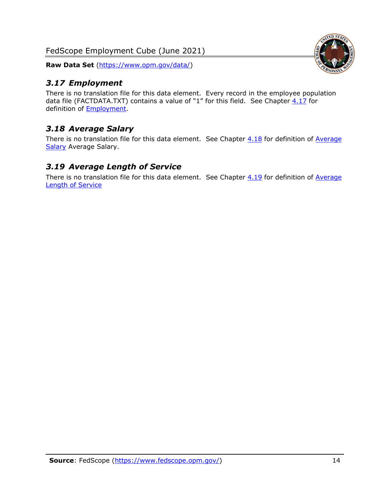### <span id="page-14-0"></span>*3.17 Employment*

There is no translation file for this data element. Every record in the employee population data file (FACTDATA.TXT) contains a value of "1" for this field. See Chapter  $4.17$  for definition of [Employment.](#page-17-0)

# <span id="page-14-1"></span>*3.18 Average Salary*

There is no translation file for this data element. See Chapter  $4.18$  for definition of Average [Salary](#page-17-1) [Average Salary.](#page-17-1)

#### <span id="page-14-2"></span>*3.19 Average Length of Service*

There is no translation file for this data element. See Chapter  $4.19$  for definition of Average [Length of Service](#page-17-2)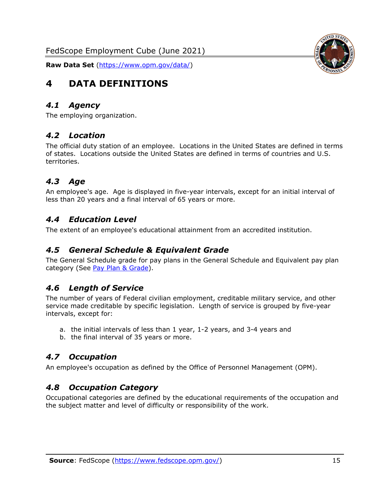

# <span id="page-15-0"></span>**4 DATA DEFINITIONS**

#### <span id="page-15-1"></span>*4.1 Agency*

<span id="page-15-2"></span>The employing organization.

#### *4.2 Location*

The official duty station of an employee. Locations in the United States are defined in terms of states. Locations outside the United States are defined in terms of countries and U.S. territories.

### <span id="page-15-3"></span>*4.3 Age*

An employee's age. Age is displayed in five-year intervals, except for an initial interval of less than 20 years and a final interval of 65 years or more.

#### <span id="page-15-4"></span>*4.4 Education Level*

<span id="page-15-5"></span>The extent of an employee's educational attainment from an accredited institution.

#### *4.5 General Schedule & Equivalent Grade*

The General Schedule grade for pay plans in the General Schedule and Equivalent pay plan category (See [Pay Plan & Grade\)](#page-16-0).

#### <span id="page-15-6"></span>*4.6 Length of Service*

The number of years of Federal civilian employment, creditable military service, and other service made creditable by specific legislation. Length of service is grouped by five-year intervals, except for:

- a. the initial intervals of less than 1 year, 1-2 years, and 3-4 years and
- b. the final interval of 35 years or more.

#### <span id="page-15-7"></span>*4.7 Occupation*

<span id="page-15-8"></span>An employee's occupation as defined by the Office of Personnel Management (OPM).

#### *4.8 Occupation Category*

Occupational categories are defined by the educational requirements of the occupation and the subject matter and level of difficulty or responsibility of the work.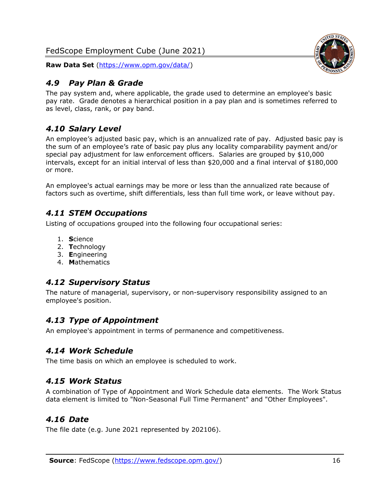

#### <span id="page-16-0"></span>*4.9 Pay Plan & Grade*

The pay system and, where applicable, the grade used to determine an employee's basic pay rate. Grade denotes a hierarchical position in a pay plan and is sometimes referred to as level, class, rank, or pay band.

## <span id="page-16-1"></span>*4.10 Salary Level*

An employee's adjusted basic pay, which is an annualized rate of pay. Adjusted basic pay is the sum of an employee's rate of basic pay plus any locality comparability payment and/or special pay adjustment for law enforcement officers. Salaries are grouped by \$10,000 intervals, except for an initial interval of less than \$20,000 and a final interval of \$180,000 or more.

An employee's actual earnings may be more or less than the annualized rate because of factors such as overtime, shift differentials, less than full time work, or leave without pay.

### <span id="page-16-2"></span>*4.11 STEM Occupations*

Listing of occupations grouped into the following four occupational series:

- 1. **S**cience
- 2. **T**echnology
- 3. **E**ngineering
- 4. **M**athematics

#### <span id="page-16-3"></span>*4.12 Supervisory Status*

The nature of managerial, supervisory, or non-supervisory responsibility assigned to an employee's position.

#### <span id="page-16-4"></span>*4.13 Type of Appointment*

<span id="page-16-5"></span>An employee's appointment in terms of permanence and competitiveness.

#### *4.14 Work Schedule*

<span id="page-16-6"></span>The time basis on which an employee is scheduled to work.

#### *4.15 Work Status*

A combination of Type of Appointment and Work Schedule data elements. The Work Status data element is limited to "Non-Seasonal Full Time Permanent" and "Other Employees".

#### <span id="page-16-7"></span>*4.16 Date*

<span id="page-16-8"></span>The file date (e.g. June 2021 represented by 202106).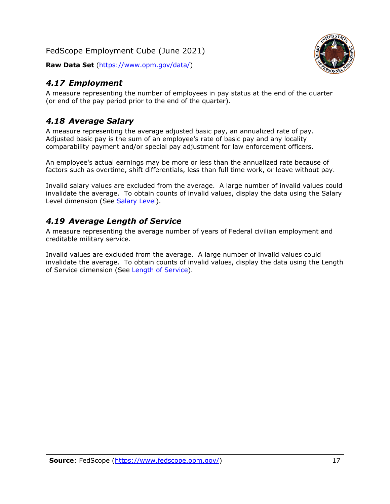<span id="page-17-0"></span>

A measure representing the number of employees in pay status at the end of the quarter (or end of the pay period prior to the end of the quarter).

## <span id="page-17-1"></span>*4.18 Average Salary*

A measure representing the average adjusted basic pay, an annualized rate of pay. Adjusted basic pay is the sum of an employee's rate of basic pay and any locality comparability payment and/or special pay adjustment for law enforcement officers.

An employee's actual earnings may be more or less than the annualized rate because of factors such as overtime, shift differentials, less than full time work, or leave without pay.

Invalid salary values are excluded from the average. A large number of invalid values could invalidate the average. To obtain counts of invalid values, display the data using the Salary Level dimension (See [Salary Level\)](#page-16-1).

### <span id="page-17-2"></span>*4.19 Average Length of Service*

A measure representing the average number of years of Federal civilian employment and creditable military service.

Invalid values are excluded from the average. A large number of invalid values could invalidate the average. To obtain counts of invalid values, display the data using the Length of Service dimension (See [Length of Service\)](#page-15-6).